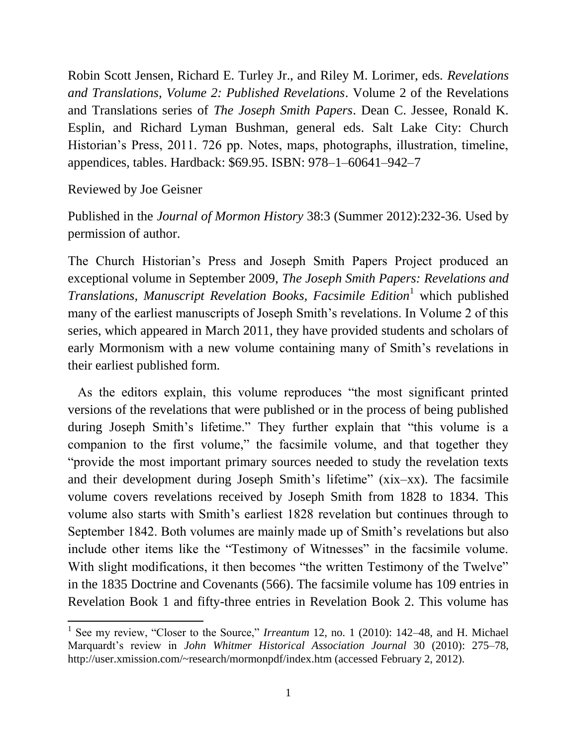Robin Scott Jensen, Richard E. Turley Jr., and Riley M. Lorimer, eds. *Revelations and Translations, Volume 2: Published Revelations*. Volume 2 of the Revelations and Translations series of *The Joseph Smith Papers*. Dean C. Jessee, Ronald K. Esplin, and Richard Lyman Bushman, general eds. Salt Lake City: Church Historian's Press, 2011. 726 pp. Notes, maps, photographs, illustration, timeline, appendices, tables. Hardback: \$69.95. ISBN: 978–1–60641–942–7

Reviewed by Joe Geisner

 $\overline{a}$ 

Published in the *Journal of Mormon History* 38:3 (Summer 2012):232-36. Used by permission of author.

The Church Historian's Press and Joseph Smith Papers Project produced an exceptional volume in September 2009, *The Joseph Smith Papers: Revelations and Translations, Manuscript Revelation Books, Facsimile Edition*<sup>1</sup> which published many of the earliest manuscripts of Joseph Smith's revelations. In Volume 2 of this series, which appeared in March 2011, they have provided students and scholars of early Mormonism with a new volume containing many of Smith's revelations in their earliest published form.

 As the editors explain, this volume reproduces "the most significant printed versions of the revelations that were published or in the process of being published during Joseph Smith's lifetime." They further explain that "this volume is a companion to the first volume," the facsimile volume, and that together they "provide the most important primary sources needed to study the revelation texts and their development during Joseph Smith's lifetime" (xix–xx). The facsimile volume covers revelations received by Joseph Smith from 1828 to 1834. This volume also starts with Smith's earliest 1828 revelation but continues through to September 1842. Both volumes are mainly made up of Smith's revelations but also include other items like the "Testimony of Witnesses" in the facsimile volume. With slight modifications, it then becomes "the written Testimony of the Twelve" in the 1835 Doctrine and Covenants (566). The facsimile volume has 109 entries in Revelation Book 1 and fifty-three entries in Revelation Book 2. This volume has

<sup>&</sup>lt;sup>1</sup> See my review, "Closer to the Source," *Irreantum* 12, no. 1 (2010): 142–48, and H. Michael Marquardt's review in *John Whitmer Historical Association Journal* 30 (2010): 275–78, http://user.xmission.com/~research/mormonpdf/index.htm (accessed February 2, 2012).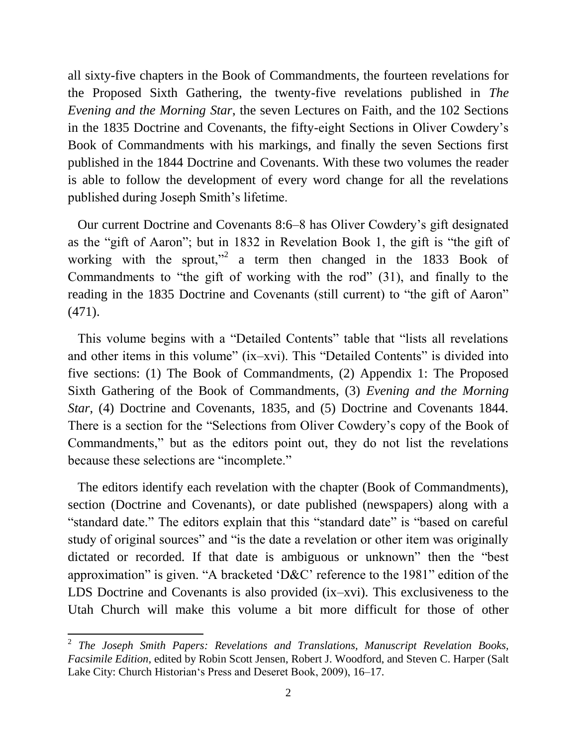all sixty-five chapters in the Book of Commandments, the fourteen revelations for the Proposed Sixth Gathering, the twenty-five revelations published in *The Evening and the Morning Star*, the seven Lectures on Faith, and the 102 Sections in the 1835 Doctrine and Covenants, the fifty-eight Sections in Oliver Cowdery's Book of Commandments with his markings, and finally the seven Sections first published in the 1844 Doctrine and Covenants. With these two volumes the reader is able to follow the development of every word change for all the revelations published during Joseph Smith's lifetime.

 Our current Doctrine and Covenants 8:6–8 has Oliver Cowdery's gift designated as the "gift of Aaron"; but in 1832 in Revelation Book 1, the gift is "the gift of working with the sprout,"<sup>2</sup> a term then changed in the 1833 Book of Commandments to "the gift of working with the rod" (31), and finally to the reading in the 1835 Doctrine and Covenants (still current) to "the gift of Aaron" (471).

 This volume begins with a "Detailed Contents" table that "lists all revelations and other items in this volume" (ix–xvi). This "Detailed Contents" is divided into five sections: (1) The Book of Commandments, (2) Appendix 1: The Proposed Sixth Gathering of the Book of Commandments, (3) *Evening and the Morning Star*, (4) Doctrine and Covenants, 1835, and (5) Doctrine and Covenants 1844. There is a section for the "Selections from Oliver Cowdery's copy of the Book of Commandments," but as the editors point out, they do not list the revelations because these selections are "incomplete."

 The editors identify each revelation with the chapter (Book of Commandments), section (Doctrine and Covenants), or date published (newspapers) along with a "standard date." The editors explain that this "standard date" is "based on careful study of original sources" and "is the date a revelation or other item was originally dictated or recorded. If that date is ambiguous or unknown" then the "best approximation" is given. "A bracketed 'D&C' reference to the 1981" edition of the LDS Doctrine and Covenants is also provided (ix–xvi). This exclusiveness to the Utah Church will make this volume a bit more difficult for those of other

 2 *The Joseph Smith Papers: Revelations and Translations, Manuscript Revelation Books, Facsimile Edition*, edited by Robin Scott Jensen, Robert J. Woodford, and Steven C. Harper (Salt Lake City: Church Historian's Press and Deseret Book, 2009), 16–17.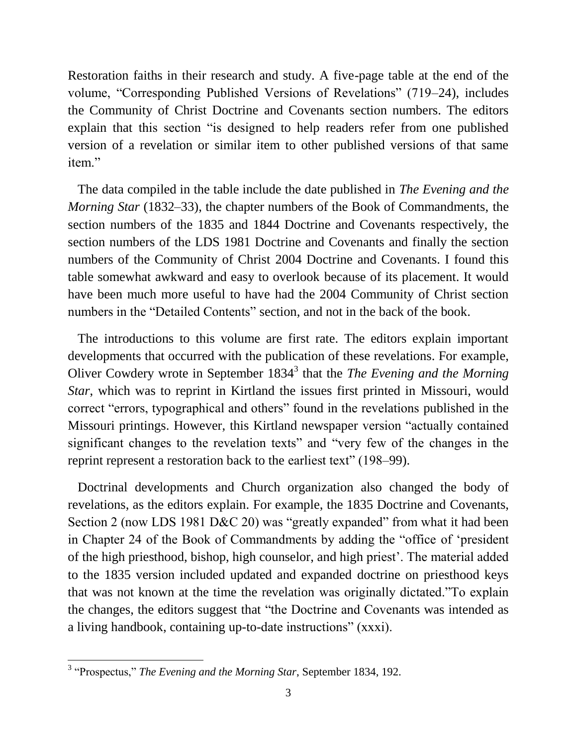Restoration faiths in their research and study. A five-page table at the end of the volume, "Corresponding Published Versions of Revelations" (719–24), includes the Community of Christ Doctrine and Covenants section numbers. The editors explain that this section "is designed to help readers refer from one published version of a revelation or similar item to other published versions of that same item"

 The data compiled in the table include the date published in *The Evening and the Morning Star* (1832–33), the chapter numbers of the Book of Commandments, the section numbers of the 1835 and 1844 Doctrine and Covenants respectively, the section numbers of the LDS 1981 Doctrine and Covenants and finally the section numbers of the Community of Christ 2004 Doctrine and Covenants. I found this table somewhat awkward and easy to overlook because of its placement. It would have been much more useful to have had the 2004 Community of Christ section numbers in the "Detailed Contents" section, and not in the back of the book.

 The introductions to this volume are first rate. The editors explain important developments that occurred with the publication of these revelations. For example, Oliver Cowdery wrote in September 1834<sup>3</sup> that the *The Evening and the Morning Star*, which was to reprint in Kirtland the issues first printed in Missouri, would correct "errors, typographical and others" found in the revelations published in the Missouri printings. However, this Kirtland newspaper version "actually contained significant changes to the revelation texts" and "very few of the changes in the reprint represent a restoration back to the earliest text" (198–99).

 Doctrinal developments and Church organization also changed the body of revelations, as the editors explain. For example, the 1835 Doctrine and Covenants, Section 2 (now LDS 1981 D&C 20) was "greatly expanded" from what it had been in Chapter 24 of the Book of Commandments by adding the "office of 'president of the high priesthood, bishop, high counselor, and high priest'. The material added to the 1835 version included updated and expanded doctrine on priesthood keys that was not known at the time the revelation was originally dictated."To explain the changes, the editors suggest that "the Doctrine and Covenants was intended as a living handbook, containing up-to-date instructions" (xxxi).

 3 "Prospectus," *The Evening and the Morning Star*, September 1834, 192.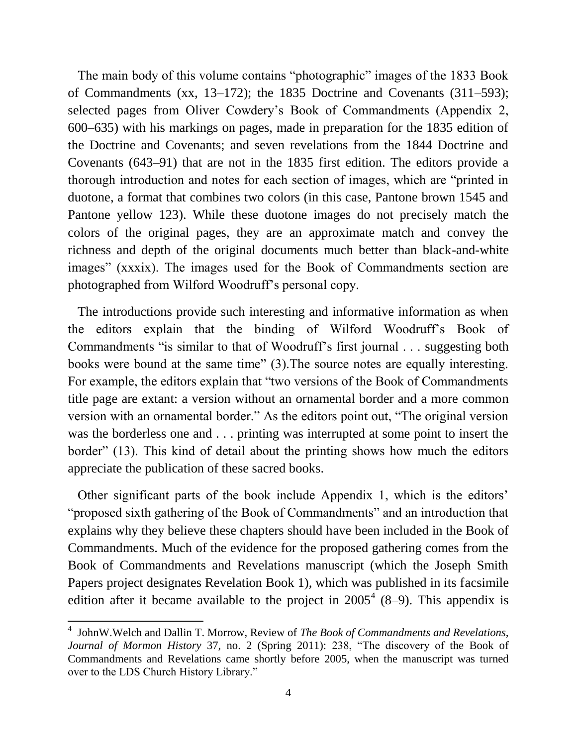The main body of this volume contains "photographic" images of the 1833 Book of Commandments (xx, 13–172); the 1835 Doctrine and Covenants (311–593); selected pages from Oliver Cowdery's Book of Commandments (Appendix 2, 600–635) with his markings on pages, made in preparation for the 1835 edition of the Doctrine and Covenants; and seven revelations from the 1844 Doctrine and Covenants (643–91) that are not in the 1835 first edition. The editors provide a thorough introduction and notes for each section of images, which are "printed in duotone, a format that combines two colors (in this case, Pantone brown 1545 and Pantone yellow 123). While these duotone images do not precisely match the colors of the original pages, they are an approximate match and convey the richness and depth of the original documents much better than black-and-white images" (xxxix). The images used for the Book of Commandments section are photographed from Wilford Woodruff's personal copy.

 The introductions provide such interesting and informative information as when the editors explain that the binding of Wilford Woodruff's Book of Commandments "is similar to that of Woodruff's first journal . . . suggesting both books were bound at the same time" (3).The source notes are equally interesting. For example, the editors explain that "two versions of the Book of Commandments title page are extant: a version without an ornamental border and a more common version with an ornamental border." As the editors point out, "The original version was the borderless one and . . . printing was interrupted at some point to insert the border" (13). This kind of detail about the printing shows how much the editors appreciate the publication of these sacred books.

 Other significant parts of the book include Appendix 1, which is the editors' "proposed sixth gathering of the Book of Commandments" and an introduction that explains why they believe these chapters should have been included in the Book of Commandments. Much of the evidence for the proposed gathering comes from the Book of Commandments and Revelations manuscript (which the Joseph Smith Papers project designates Revelation Book 1), which was published in its facsimile edition after it became available to the project in  $2005^4$  (8–9). This appendix is

 $\overline{a}$ 

<sup>4</sup> JohnW.Welch and Dallin T. Morrow, Review of *The Book of Commandments and Revelations, Journal of Mormon History* 37, no. 2 (Spring 2011): 238, "The discovery of the Book of Commandments and Revelations came shortly before 2005, when the manuscript was turned over to the LDS Church History Library."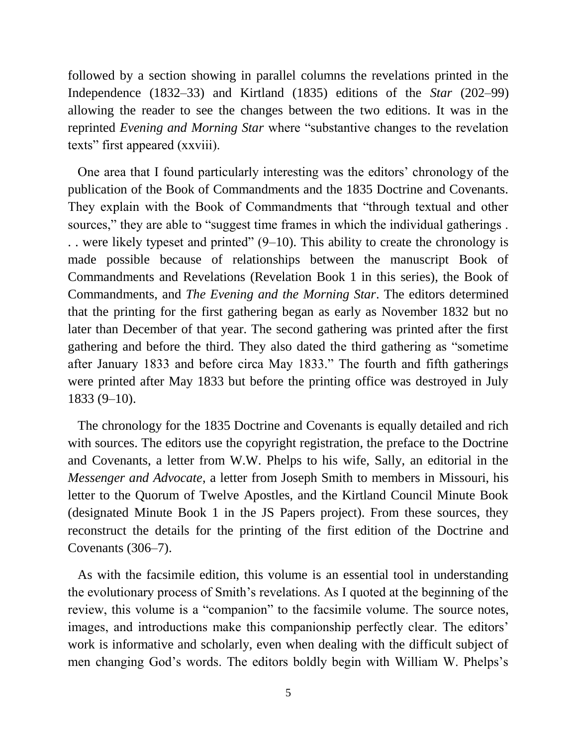followed by a section showing in parallel columns the revelations printed in the Independence (1832–33) and Kirtland (1835) editions of the *Star* (202–99) allowing the reader to see the changes between the two editions. It was in the reprinted *Evening and Morning Star* where "substantive changes to the revelation texts" first appeared (xxviii).

 One area that I found particularly interesting was the editors' chronology of the publication of the Book of Commandments and the 1835 Doctrine and Covenants. They explain with the Book of Commandments that "through textual and other sources," they are able to "suggest time frames in which the individual gatherings. . . were likely typeset and printed" (9–10). This ability to create the chronology is made possible because of relationships between the manuscript Book of Commandments and Revelations (Revelation Book 1 in this series), the Book of Commandments, and *The Evening and the Morning Star*. The editors determined that the printing for the first gathering began as early as November 1832 but no later than December of that year. The second gathering was printed after the first gathering and before the third. They also dated the third gathering as "sometime after January 1833 and before circa May 1833." The fourth and fifth gatherings were printed after May 1833 but before the printing office was destroyed in July 1833 (9–10).

 The chronology for the 1835 Doctrine and Covenants is equally detailed and rich with sources. The editors use the copyright registration, the preface to the Doctrine and Covenants, a letter from W.W. Phelps to his wife, Sally, an editorial in the *Messenger and Advocate*, a letter from Joseph Smith to members in Missouri, his letter to the Quorum of Twelve Apostles, and the Kirtland Council Minute Book (designated Minute Book 1 in the JS Papers project). From these sources, they reconstruct the details for the printing of the first edition of the Doctrine and Covenants (306–7).

 As with the facsimile edition, this volume is an essential tool in understanding the evolutionary process of Smith's revelations. As I quoted at the beginning of the review, this volume is a "companion" to the facsimile volume. The source notes, images, and introductions make this companionship perfectly clear. The editors' work is informative and scholarly, even when dealing with the difficult subject of men changing God's words. The editors boldly begin with William W. Phelps's